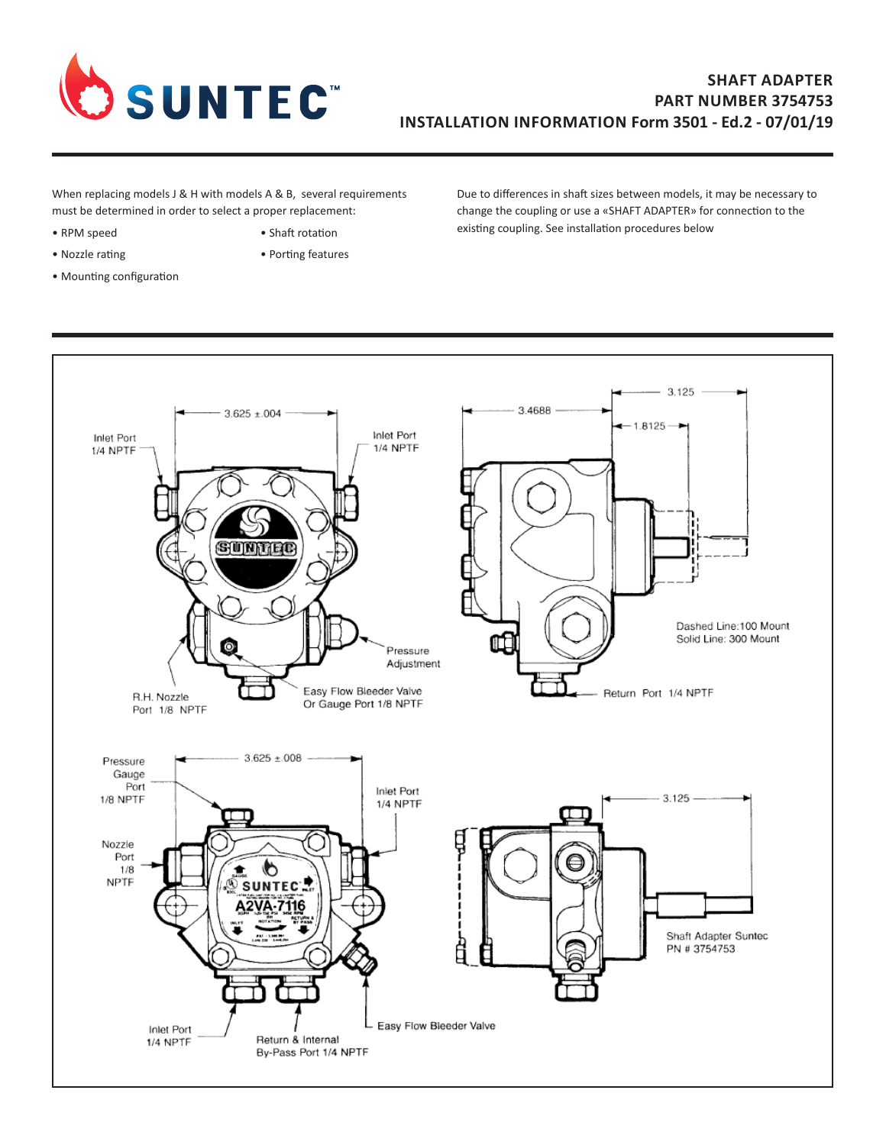

## **SHAFT ADAPTER PART NUMBER 3754753 INSTALLATION INFORMATION Form 3501 - Ed.2 - 07/01/19**

When replacing models J & H with models A & B, several requirements must be determined in order to select a proper replacement:

- 
- 
- Mounting configuration
- RPM speed Shaft rotation
- Nozzle rating **•** Porting features

Due to differences in shaft sizes between models, it may be necessary to change the coupling or use a «SHAFT ADAPTER» for connection to the existing coupling. See installation procedures below